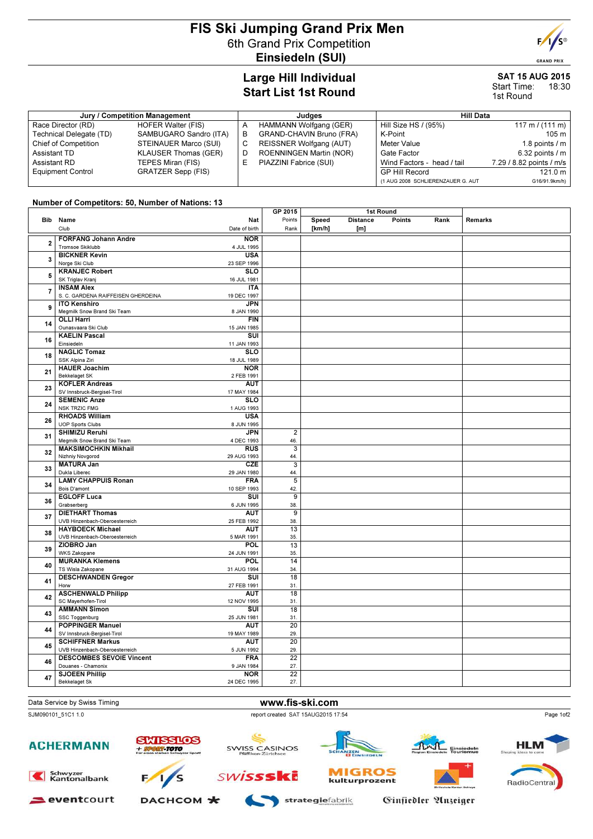## FIS Ski Jumping Grand Prix Men 6th Grand Prix Competition Einsiedeln (SUI)



#### SAT 15 AUG 2015 Start Time: 18:30 1st Round

 $F/I/S^{\circ}$ **GRAND PRIX** 

| Jury / Competition Management |                             |   | Judaes                          | <b>Hill Data</b>                  |                           |  |
|-------------------------------|-----------------------------|---|---------------------------------|-----------------------------------|---------------------------|--|
| Race Director (RD)            | <b>HOFER Walter (FIS)</b>   |   | HAMMANN Wolfgang (GER)          | Hill Size HS / (95%)              | 117 m / $(111 \text{ m})$ |  |
| Technical Delegate (TD)       | SAMBUGARO Sandro (ITA)      | В | <b>GRAND-CHAVIN Bruno (FRA)</b> | K-Point                           | 105 <sub>m</sub>          |  |
| Chief of Competition          | STEINAUER Marco (SUI)       |   | REISSNER Wolfgang (AUT)         | Meter Value                       | 1.8 points $\sqrt{m}$     |  |
| Assistant TD                  | <b>KLAUSER Thomas (GER)</b> |   | ROENNINGEN Martin (NOR)         | Gate Factor                       | $6.32$ points $/ m$       |  |
| Assistant RD                  | TEPES Miran (FIS)           |   | PIAZZINI Fabrice (SUI)          | Wind Factors - head / tail        | 7.29 / 8.82 points / m/s  |  |
| <b>Equipment Control</b>      | GRATZER Sepp (FIS)          |   |                                 | <b>GP Hill Record</b>             | 121.0 m                   |  |
|                               |                             |   |                                 | (1 AUG 2008 SCHLIERENZAUER G. AUT | G16/91.9km/h)             |  |

### Number of Competitors: 50, Number of Nations: 13

|                         |                                                    |                                                  | GP 2015                 | 1st Round |                 |        |      |         |
|-------------------------|----------------------------------------------------|--------------------------------------------------|-------------------------|-----------|-----------------|--------|------|---------|
|                         | Bib Name                                           | Nat                                              | Points                  | Speed     | <b>Distance</b> | Points | Rank | Remarks |
|                         | Club                                               | Date of birth                                    | Rank                    | [km/h]    | [m]             |        |      |         |
|                         | <b>FORFANG Johann Andre</b>                        | <b>NOR</b>                                       |                         |           |                 |        |      |         |
| $\overline{\mathbf{2}}$ | Tromsoe Skiklubb                                   | 4 JUL 1995                                       |                         |           |                 |        |      |         |
|                         | <b>BICKNER Kevin</b>                               | <b>USA</b>                                       |                         |           |                 |        |      |         |
| 3                       | Norge Ski Club                                     | 23 SEP 1996                                      |                         |           |                 |        |      |         |
|                         | <b>KRANJEC Robert</b>                              | <b>SLO</b>                                       |                         |           |                 |        |      |         |
| 5                       | SK Triglav Kranj                                   | 16 JUL 1981                                      |                         |           |                 |        |      |         |
|                         | <b>INSAM Alex</b>                                  | <b>ITA</b>                                       |                         |           |                 |        |      |         |
| $\overline{7}$          | S. C. GARDENA RAIFFEISEN GHERDEINA                 | 19 DEC 1997                                      |                         |           |                 |        |      |         |
|                         | <b>ITO Kenshiro</b>                                | <b>JPN</b>                                       |                         |           |                 |        |      |         |
| 9                       | Megmilk Snow Brand Ski Team                        | 8 JAN 1990                                       |                         |           |                 |        |      |         |
|                         | <b>OLLI Harri</b>                                  | <b>FIN</b>                                       |                         |           |                 |        |      |         |
| 14                      | Ounasvaara Ski Club                                | 15 JAN 1985                                      |                         |           |                 |        |      |         |
| 16                      | <b>KAELIN Pascal</b>                               | $\overline{\text{su}}$                           |                         |           |                 |        |      |         |
|                         | Einsiedeln                                         | 11 JAN 1993                                      |                         |           |                 |        |      |         |
| 18                      | <b>NAGLIC Tomaz</b>                                | $\overline{\text{SLO}}$                          |                         |           |                 |        |      |         |
|                         | SSK Alpina Ziri                                    | 18 JUL 1989                                      |                         |           |                 |        |      |         |
| 21                      | <b>HAUER Joachim</b>                               | <b>NOR</b>                                       |                         |           |                 |        |      |         |
|                         | <b>Bekkelaget SK</b>                               | 2 FEB 1991                                       |                         |           |                 |        |      |         |
| 23                      | <b>KOFLER Andreas</b>                              | <b>AUT</b>                                       |                         |           |                 |        |      |         |
|                         | SV Innsbruck-Bergisel-Tirol<br><b>SEMENIC Anze</b> | 17 MAY 1984<br><b>SLO</b>                        |                         |           |                 |        |      |         |
| 24                      | <b>NSK TRZIC FMG</b>                               | 1 AUG 1993                                       |                         |           |                 |        |      |         |
|                         | <b>RHOADS William</b>                              | <b>USA</b>                                       |                         |           |                 |        |      |         |
| 26                      | <b>UOP Sports Clubs</b>                            | 8 JUN 1995                                       |                         |           |                 |        |      |         |
|                         | <b>SHIMIZU Reruhi</b>                              | <b>JPN</b>                                       | $\overline{2}$          |           |                 |        |      |         |
| 31                      | Megmilk Snow Brand Ski Team                        | 4 DEC 1993                                       | 46.                     |           |                 |        |      |         |
| 32                      | <b>MAKSIMOCHKIN Mikhail</b>                        | <b>RUS</b>                                       | $\overline{\mathbf{3}}$ |           |                 |        |      |         |
|                         | Nizhniy Novgorod                                   | 29 AUG 1993                                      | 44.                     |           |                 |        |      |         |
| 33                      | <b>MATURA Jan</b>                                  | CZE                                              |                         |           |                 |        |      |         |
|                         | Dukla Liberec                                      | 29 JAN 1980                                      | 44.                     |           |                 |        |      |         |
| 34                      | <b>LAMY CHAPPUIS Ronan</b>                         | <b>FRA</b>                                       | $\overline{5}$          |           |                 |        |      |         |
|                         | Bois D'amont<br><b>EGLOFF Luca</b>                 | 10 SEP 1993<br>$\overline{\mathsf{s}\mathsf{u}}$ | 42.<br>$\overline{9}$   |           |                 |        |      |         |
| 36                      | Grabserberg                                        | 6 JUN 1995                                       | 38.                     |           |                 |        |      |         |
|                         | <b>DIETHART Thomas</b>                             | <b>AUT</b>                                       | $\overline{9}$          |           |                 |        |      |         |
| 37                      | UVB Hinzenbach-Oberoesterreich                     | 25 FEB 1992                                      | 38.                     |           |                 |        |      |         |
|                         | <b>HAYBOECK Michael</b>                            | <b>AUT</b>                                       | 13                      |           |                 |        |      |         |
| 38                      | UVB Hinzenbach-Oberoesterreich                     | 5 MAR 1991                                       | 35.                     |           |                 |        |      |         |
| 39                      | ZIOBRO Jan                                         | <b>POL</b>                                       | 13                      |           |                 |        |      |         |
|                         | WKS Zakopane                                       | 24 JUN 1991                                      | 35.                     |           |                 |        |      |         |
| 40                      | <b>MURANKA Klemens</b>                             | POL                                              | 14                      |           |                 |        |      |         |
|                         | TS Wisla Zakopane                                  | 31 AUG 1994                                      | 34.                     |           |                 |        |      |         |
| 41                      | <b>DESCHWANDEN Gregor</b>                          | SUI                                              | 18                      |           |                 |        |      |         |
|                         | Horw                                               | 27 FEB 1991                                      | 31.                     |           |                 |        |      |         |
| 42                      | <b>ASCHENWALD Philipp</b><br>SC Mayerhofen-Tirol   | <b>AUT</b>                                       | 18                      |           |                 |        |      |         |
| 43                      | <b>AMMANN Simon</b>                                | 12 NOV 1995<br>SUI                               | 31<br>18                |           |                 |        |      |         |
|                         | SSC Toggenburg                                     | 25 JUN 1981                                      | 31.                     |           |                 |        |      |         |
|                         | <b>POPPINGER Manuel</b>                            | <b>AUT</b>                                       | 20                      |           |                 |        |      |         |
| 44                      | SV Innsbruck-Bergisel-Tirol                        | 19 MAY 1989                                      | 29.                     |           |                 |        |      |         |
|                         | <b>SCHIFFNER Markus</b>                            | <b>AUT</b>                                       | $\overline{20}$         |           |                 |        |      |         |
| 45                      | UVB Hinzenbach-Oberoesterreich                     | 5 JUN 1992                                       | 29.                     |           |                 |        |      |         |
|                         | <b>DESCOMBES SEVOIE Vincent</b>                    | <b>FRA</b>                                       | 22                      |           |                 |        |      |         |
| 46                      | Douanes - Chamonix                                 | 9 JAN 1984                                       | 27.                     |           |                 |        |      |         |
| 47                      | <b>SJOEEN Phillip</b>                              | <b>NOR</b>                                       | $\overline{22}$         |           |                 |        |      |         |
|                         | Bekkelaget Sk                                      | 24 DEC 1995                                      | 27.                     |           |                 |        |      |         |

Data Service by Swiss Timing WWW.fis-ski.com

### SJM090101\_51C1 1.0 report created SAT 15AUG2015 17:54







**SWISSSKE** 



**MIGROS** 

kulturprozent





Schwyzer<br>Kantonalbank



DACHCOM \*

strategiefabrik

Ginfiedler Anzeiger



Page 1of2